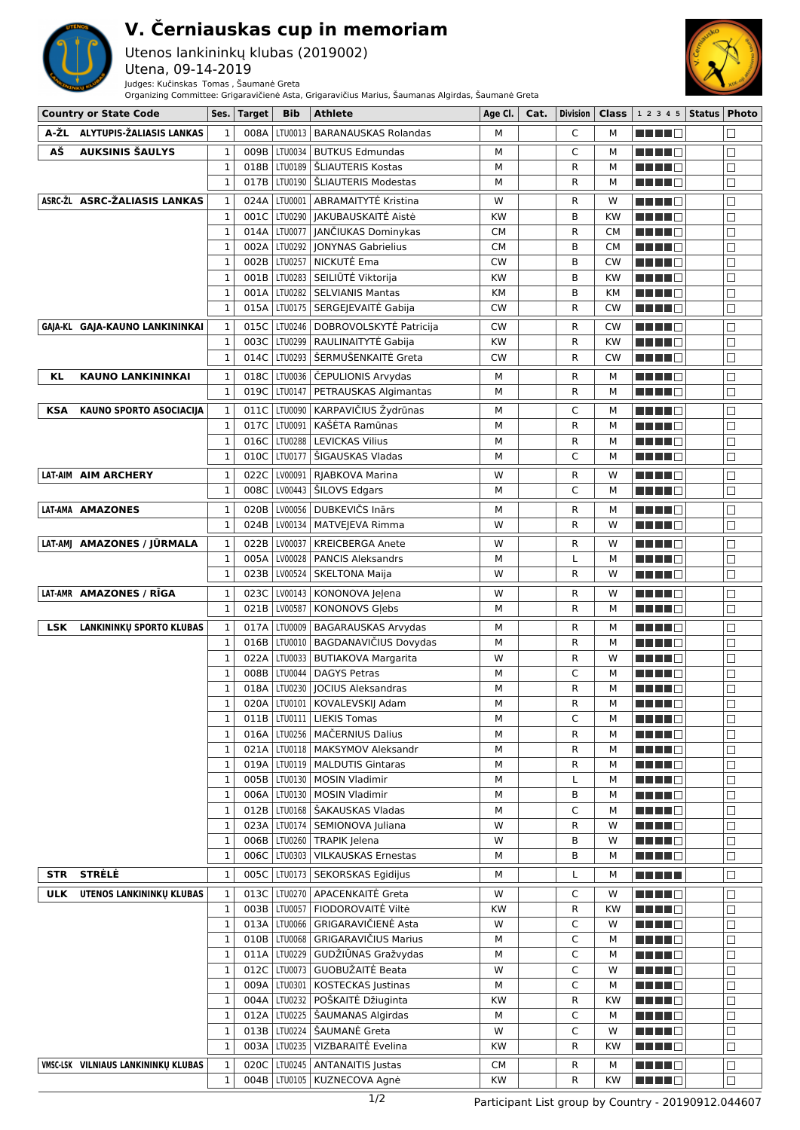

## **V. Černiauskas cup in memoriam**

## Utenos lankininkų klubas (2019002)

Utena, 09-14-2019

Judges: Kučinskas Tomas , Šaumanė Greta Organizing Committee: Grigaravičienė Asta, Grigaravičius Marius, Šaumanas Algirdas, Šaumanė Greta



|            | <b>Country or State Code</b>        |              | Ses.   Target | <b>Bib</b> | <b>Athlete</b>                        | Age Cl.   | Cat. | Division | Class     | 1 2 3 4 5   Status   Photo   |        |
|------------|-------------------------------------|--------------|---------------|------------|---------------------------------------|-----------|------|----------|-----------|------------------------------|--------|
| A-ŽL       | ALYTUPIS-ŽALIASIS LANKAS            | 1            | 008A          | LTU0013    | <b>BARANAUSKAS Rolandas</b>           | м         |      | C        | м         | ma mata                      | Ш      |
| АŠ         | AUKSINIS ŠAULYS                     | $\mathbf 1$  | 009B          | LTU0034    | <b>BUTKUS Edmundas</b>                | М         |      | C        | М         | MA MARIT                     | □      |
|            |                                     | $\mathbf{1}$ | 018B          |            | LTU0189   ŠLIAUTERIS Kostas           | M         |      | R        | м         | ma mata                      | □      |
|            |                                     | 1            | 017B          |            | LTU0190   SLIAUTERIS Modestas         | м         |      | R        | м         | <u> Here i Se</u>            | П      |
|            |                                     |              |               |            |                                       |           |      |          |           |                              |        |
|            | ASRC-ŽL ASRC-ŽALIASIS LANKAS        | 1            | 024A          | LTU0001    | ABRAMAITYTĖ Kristina                  | W         |      | R        | W         | MA MAR                       | □      |
|            |                                     | 1            | 001C          | LTU0290    | JAKUBAUSKAITĖ Aistė                   | <b>KW</b> |      | B        | <b>KW</b> | ma mata                      | П      |
|            |                                     | 1            | 014A          | LTU0077    | JANČIUKAS Dominykas                   | СM        |      | R        | <b>CM</b> | ma mata                      | П      |
|            |                                     | 1            | 002A          | LTU0292    | <b>JONYNAS Gabrielius</b>             | СM        |      | B        | CМ        | ma mata                      | П      |
|            |                                     | 1            | 002B          | LTU0257    | NICKUTĖ Ema                           | <b>CW</b> |      | B        | CW        | ma mata                      | $\Box$ |
|            |                                     | $\mathbf{1}$ | 001B          | LTU0283    | SEILIŪTĖ Viktorija                    | KW        |      | B        | <b>KW</b> | N N N N N                    | □      |
|            |                                     | $\mathbf 1$  | 001A          |            | LTU0282   SELVIANIS Mantas            | KМ        |      | B        | <b>KM</b> | <u> Here al B</u>            | $\Box$ |
|            |                                     | 1            |               |            | 015A   LTU0175   SERGEJEVAITĖ Gabija  | CW        |      | R        | CW        | .                            | □      |
|            | GAJA-KL GAJA-KAUNO LANKININKAI      | 1            | 015C          | LTU0246    | DOBROVOLSKYTĖ Patricija               | <b>CW</b> |      | R        | <b>CW</b> | ma mata                      | □      |
|            |                                     | $\mathbf{1}$ | 003C          |            | LTU0299   RAULINAITYTĖ Gabija         | KW        |      | R        | <b>KW</b> | ma mata                      | □      |
|            |                                     | 1            |               |            | 014C   LTU0293   ŠERMUŠENKAITĖ Greta  | CW        |      | R        | CW        | <u> Here i Se</u>            | □      |
| KL         | <b>KAUNO LANKININKAI</b>            | 1            | 018C          |            | LTU0036   ČEPULIONIS Arvydas          | М         |      | R        | м         | ma mata                      | $\Box$ |
|            |                                     | 1            | 019C          | LTU0147    | PETRAUSKAS Algimantas                 | М         |      | R        | м         | <u> Here i Se</u>            | $\Box$ |
| <b>KSA</b> | KAUNO SPORTO ASOCIACIJA             | 1            | 011C          | LTU0090    | KARPAVIČIUS Žydrūnas                  | М         |      | C        | М         | MA MA M                      | □      |
|            |                                     | $\mathbf{1}$ | 017C          | LTU0091    | KAŠĖTA Ramūnas                        | М         |      | R        | М         | ma mata                      | П      |
|            |                                     | 1            | 016C          | LTU0288    | <b>LEVICKAS Vilius</b>                | М         |      | R        | м         |                              | $\Box$ |
|            |                                     | 1            | 010C          | LTU0177    | ŠIGAUSKAS Vladas                      | М         |      | C        | м         | <u> Literatur</u>            | П      |
|            |                                     |              |               |            |                                       |           |      |          |           |                              |        |
|            | LAT-AIM AIM ARCHERY                 | 1            | 022C          | LV00091    | RJABKOVA Marina                       | W         |      | R        | W         | ma mata                      | $\Box$ |
|            |                                     | $\mathbf{1}$ | 008C          | LV00443    | SILOVS Edgars                         | М         |      | C        | М         | <u> Literatura de la pro</u> | □      |
|            | LAT-AMA AMAZONES                    | 1            | 020B          |            | LV00056   DUBKEVIČS Inārs             | М         |      | R        | М         | H H H I I I                  | □      |
|            |                                     | 1            | 024B          | LV00134    | MATVEJEVA Rimma                       | w         |      | R        | w         | Martin Mar                   | $\Box$ |
|            | LAT-AMJ AMAZONES / JŪRMALA          | 1            | 022B          | LV00037    | <b>KREICBERGA Anete</b>               | W         |      | R        | W         | ma mata                      | □      |
|            |                                     | 1            | 005A          | LV00028    | <b>PANCIS Aleksandrs</b>              | М         |      | L        | м         | <u> Literatur</u>            | □      |
|            |                                     | $\mathbf{1}$ |               |            | 023B   LV00524   SKELTONA Maija       | W         |      | R        | W         | <u> Here i Se</u>            | $\Box$ |
|            | LAT-AMR AMAZONES / RĪGA             | 1            | 023C          |            | LV00143   KONONOVA Jeļena             | w         |      | R        | w         | ______                       | □      |
|            |                                     | 1            | 021B          | LV00587    | <b>KONONOVS Glebs</b>                 | M         |      | R        | м         | <u> Here i Se</u>            | $\Box$ |
| <b>LSK</b> | LANKININKŲ SPORTO KLUBAS            | 1            | 017A          | LTU0009    | <b>BAGARAUSKAS Arvydas</b>            | М         |      | R        | М         | MA MAR                       | □      |
|            |                                     | $\mathbf{1}$ | 016B          | LTU0010    | BAGDANAVIČIUS Dovydas                 | M         |      | R        | м         | ma mata                      | П      |
|            |                                     | 1            | 022A          | LTU0033    | <b>BUTIAKOVA Margarita</b>            | W         |      | R        | w         | H H H I I I                  | $\Box$ |
|            |                                     | 1            | 008B          | LTU0044    | <b>DAGYS Petras</b>                   | М         |      | C        | м         | ma mata                      | $\Box$ |
|            |                                     | 1            |               |            | 018A   LTU0230   JOCIUS Aleksandras   | M         |      | R        | м         |                              | □      |
|            |                                     | $\mathbf{1}$ |               |            | 020A   LTU0101   KOVALEVSKIJ Adam     | М         |      | R        | м         | ma mata                      | П      |
|            |                                     | 1            |               |            | 011B   LTU0111   LIEKIS Tomas         | М         |      | C        | М         | <u> Literatur C</u>          | $\Box$ |
|            |                                     | 1            |               |            | 016A LTU0256 MAČERNIUS Dalius         | М         |      | R        | м         | ma matsa                     | $\Box$ |
|            |                                     | $\mathbf{1}$ |               |            | 021A   LTU0118   MAKSYMOV Aleksandr   | М         |      | R        | М         | MA MAR                       | $\Box$ |
|            |                                     | $\mathbf{1}$ |               |            | 019A   LTU0119   MALDUTIS Gintaras    | М         |      | R        | М         | MA MAR                       | □      |
|            |                                     | $\mathbf{1}$ |               |            | 005B   LTU0130   MOSIN Vladimir       | М         |      | L        | м         | N N N N D                    | $\Box$ |
|            |                                     | $\mathbf{1}$ | 006A          |            | LTU0130   MOSIN Vladimir              | М         |      | В        | М         | M M M M M                    | $\Box$ |
|            |                                     | 1            |               |            | 012B   LTU0168   ŠAKAUSKAS Vladas     | М         |      | С        | м         | Martin Ma                    | $\Box$ |
|            |                                     | $\mathbf 1$  |               |            | 023A   LTU0174   SEMIONOVA Juliana    | W         |      | R        | W         | e de la co                   | $\Box$ |
|            |                                     | 1            |               |            | 006B   LTU0260   TRAPIK Jelena        | W         |      | В        | W         | M M M M M                    | $\Box$ |
|            |                                     | $\mathbf{1}$ |               |            | 006C   LTU0303   VILKAUSKAS Ernestas  | M         |      | B        | М         | MA MAR                       | □      |
|            | STR STRELE                          |              | 005C          |            | LTU0173   SEKORSKAS Egidijus          |           |      |          |           |                              | $\Box$ |
|            |                                     | 1            |               |            |                                       | м         |      | L        | М         | <u> El El El </u>            |        |
| <b>ULK</b> | UTENOS LANKININKŲ KLUBAS            | 1            | 013C          |            | LTU0270 APACENKAITĖ Greta             | W         |      | C        | W         | M M M M M                    | $\Box$ |
|            |                                     | $\mathbf 1$  |               |            | 003B   LTU0057   FIODOROVAITĖ Viltė   | KW        |      | R        | <b>KW</b> | MA MAR                       | П      |
|            |                                     | $\mathbf 1$  |               |            | 013A   LTU0066   GRIGARAVIČIENĖ Asta  | W         |      | C        | W         | M M M M M                    | □      |
|            |                                     | 1            |               |            | 010B   LTU0068   GRIGARAVIČIUS Marius | М         |      | С        | М         | e de la co                   | П      |
|            |                                     | 1            |               |            | 011A   LTU0229   GUDŽIŪNAS Gražvydas  | М         |      | С        | М         | Martin Ma                    | $\Box$ |
|            |                                     | $\mathbf 1$  | 012C          |            | LTU0073 GUOBUŽAITĖ Beata              | W         |      | C        | W         | <u> HILL</u> E               | □      |
|            |                                     | $\mathbf 1$  |               |            | 009A   LTU0301   KOSTECKAS Justinas   | М         |      | C        | м         | <b>REBED</b>                 | □      |
|            |                                     | $\mathbf{1}$ |               |            | 004A   LTU0232   POŠKAITĖ Džiuginta   | KW        |      | R        | <b>KW</b> | <u> Literatur</u>            | $\Box$ |
|            |                                     | 1            | 012A          |            | LTU0225   ŠAUMANAS Algirdas           | М         |      | C        | М         | MA MA M                      | $\Box$ |
|            |                                     | 1            |               |            | 013B   LTU0224   ŠAUMANĖ Greta        | W         |      | C        | W         | MA MAR                       | $\Box$ |
|            |                                     | $\mathbf{1}$ | 003A          |            | LTU0235   VIZBARAITĖ Evelina          | KW        |      | R        | <b>KW</b> | MA MAG                       | □      |
|            | VMSC-LSK VILNIAUS LANKININKŲ KLUBAS | $\mathbf{1}$ |               |            | 020C   LTU0245   ANTANAITIS Justas    | СM        |      | R        | м         | MA MATA                      | □      |
|            |                                     | 1            |               |            | 004B   LTU0105   KUZNECOVA Agnė       | KW        |      | R        | KW        | MA MA                        | $\Box$ |